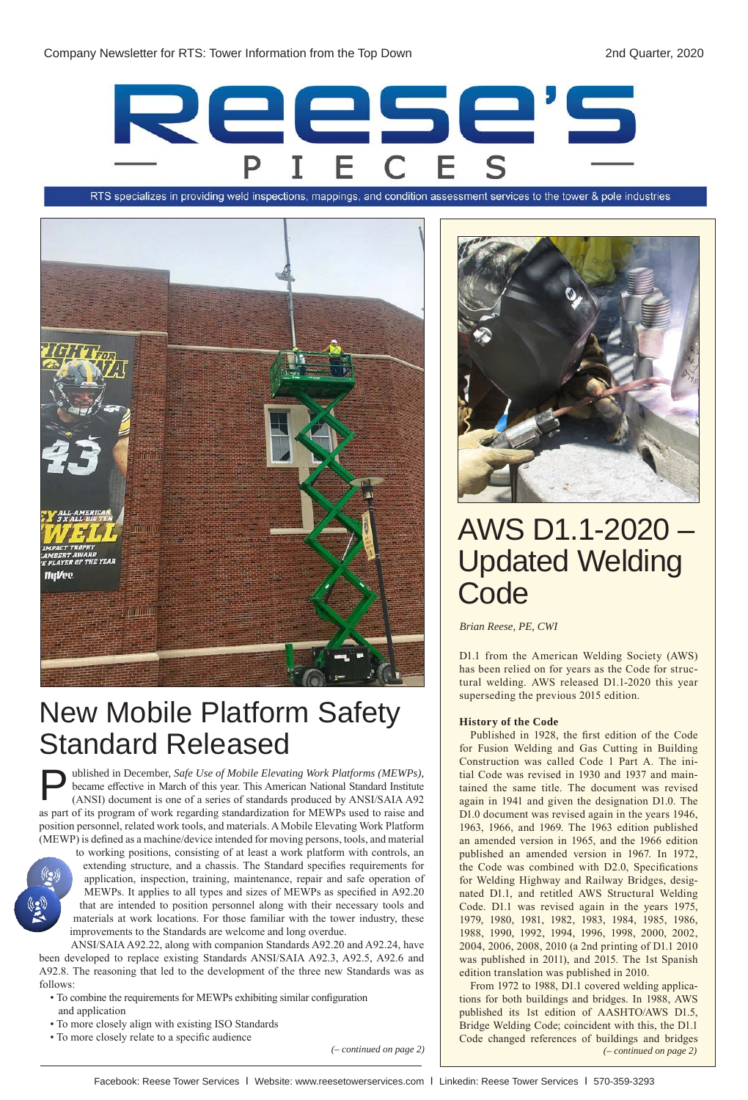

RTS specializes in providing weld inspections, mappings, and condition assessment services to the tower & pole industries



## New Mobile Platform Safety Standard Released

ublished in December, *Safe Use of Mobile Elevating Work Platforms (MEWPs)*, became effective in March of this year. This American National Standard Institute (ANSI) document is one of a series of standards produced by ANSI/SAIA A92 as part of its program of work regarding standardization for MEWPs used to raise and position personnel, related work tools, and materials. A Mobile Elevating Work Platform (MEWP) is defined as a machine/device intended for moving persons, tools, and material P

to working positions, consisting of at least a work platform with controls, an extending structure, and a chassis. The Standard specifies requirements for application, inspection, training, maintenance, repair and safe operation of MEWPs. It applies to all types and sizes of MEWPs as specified in A92.20 that are intended to position personnel along with their necessary tools and materials at work locations. For those familiar with the tower industry, these improvements to the Standards are welcome and long overdue.

ANSI/SAIA A92.22, along with companion Standards A92.20 and A92.24, have been developed to replace existing Standards ANSI/SAIA A92.3, A92.5, A92.6 and A92.8. The reasoning that led to the development of the three new Standards was as follows:

- To combine the requirements for MEWPs exhibiting similar configuration and application
- To more closely align with existing ISO Standards
- To more closely relate to a specific audience



## AWS D1.1-2020 – Updated Welding **Code**

*Brian Reese, PE, CWI*

D1.1 from the American Welding Society (AWS) has been relied on for years as the Code for structural welding. AWS released D1.1-2020 this year superseding the previous 2015 edition.

## **History of the Code**

Published in 1928, the first edition of the Code for Fusion Welding and Gas Cutting in Building Construction was called Code 1 Part A. The initial Code was revised in 1930 and 1937 and maintained the same title. The document was revised again in 1941 and given the designation D1.0. The D1.0 document was revised again in the years 1946, 1963, 1966, and 1969. The 1963 edition published an amended version in 1965, and the 1966 edition published an amended version in 1967. In 1972, the Code was combined with D2.0, Specifications for Welding Highway and Railway Bridges, designated D1.1, and retitled AWS Structural Welding Code. D1.1 was revised again in the years 1975, 1979, 1980, 1981, 1982, 1983, 1984, 1985, 1986, 1988, 1990, 1992, 1994, 1996, 1998, 2000, 2002, 2004, 2006, 2008, 2010 (a 2nd printing of D1.1 2010 was published in 2011), and 2015. The 1st Spanish edition translation was published in 2010.

From 1972 to 1988, D1.1 covered welding applications for both buildings and bridges. In 1988, AWS published its 1st edition of AASHTO/AWS D1.5, Bridge Welding Code; coincident with this, the D1.1 Code changed references of buildings and bridges *(– continued on page 2) (– continued on page 2)*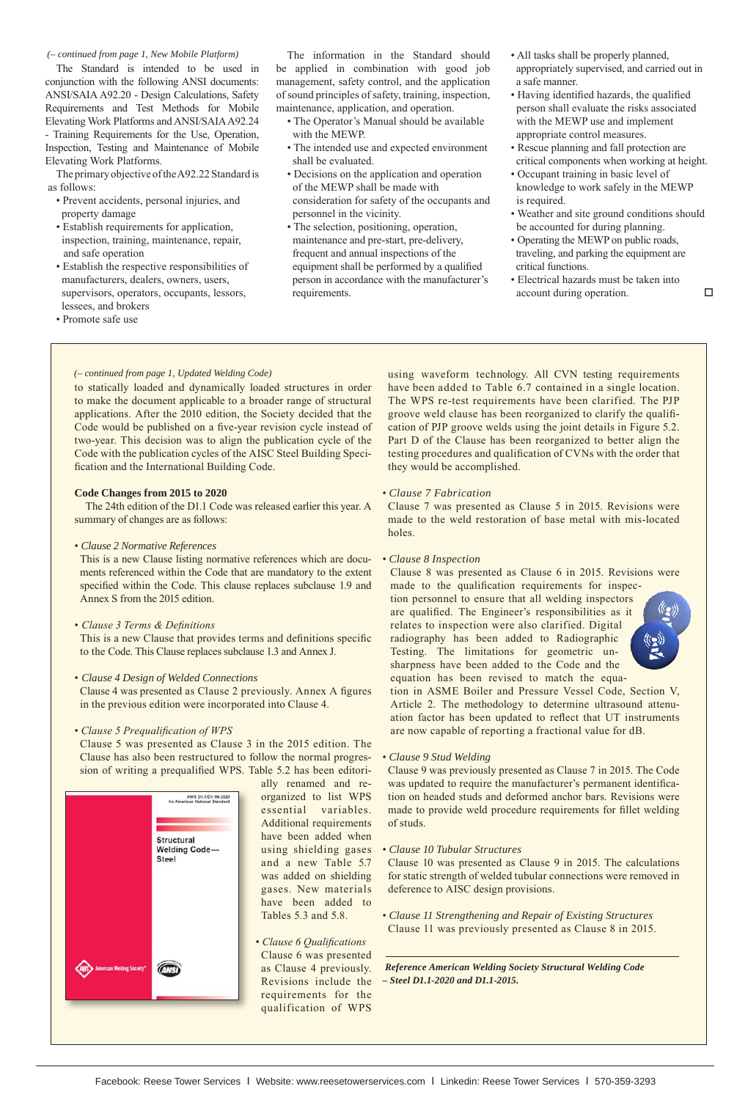The Standard is intended to be used in conjunction with the following ANSI documents: ANSI/SAIA A92.20 - Design Calculations, Safety Requirements and Test Methods for Mobile Elevating Work Platforms and ANSI/SAIA A92.24 - Training Requirements for the Use, Operation, Inspection, Testing and Maintenance of Mobile Elevating Work Platforms.

The primary objective of the A92.22 Standard is as follows:

- Prevent accidents, personal injuries, and property damage
- Establish requirements for application, inspection, training, maintenance, repair, and safe operation
- Establish the respective responsibilities of manufacturers, dealers, owners, users, supervisors, operators, occupants, lessors, lessees, and brokers
- Promote safe use

(- continued from page 1, New Mobile Platform) The information in the Standard should • All tasks shall be properly planned, be applied in combination with good job management, safety control, and the application of sound principles of safety, training, inspection, maintenance, application, and operation.

- The Operator's Manual should be available with the MEWP.
- The intended use and expected environment shall be evaluated.
- Decisions on the application and operation of the MEWP shall be made with consideration for safety of the occupants and personnel in the vicinity.
- The selection, positioning, operation, maintenance and pre-start, pre-delivery, frequent and annual inspections of the equipment shall be performed by a qualified person in accordance with the manufacturer's requirements.
- appropriately supervised, and carried out in a safe manner.
- Having identified hazards, the qualified person shall evaluate the risks associated with the MEWP use and implement appropriate control measures.
- Rescue planning and fall protection are critical components when working at height.
- Occupant training in basic level of knowledge to work safely in the MEWP is required.
- Weather and site ground conditions should be accounted for during planning.
- Operating the MEWP on public roads, traveling, and parking the equipment are critical functions.
- Electrical hazards must be taken into account during operation.

### *(– continued from page 1, Updated Welding Code)*

to statically loaded and dynamically loaded structures in order to make the document applicable to a broader range of structural applications. After the 2010 edition, the Society decided that the Code would be published on a five-year revision cycle instead of two-year. This decision was to align the publication cycle of the Code with the publication cycles of the AISC Steel Building Specification and the International Building Code.

## **Code Changes from 2015 to 2020**

The 24th edition of the D1.1 Code was released earlier this year. A summary of changes are as follows:

• *Clause 2 Normative References*

This is a new Clause listing normative references which are documents referenced within the Code that are mandatory to the extent specified within the Code. This clause replaces subclause 1.9 and Annex S from the 2015 edition.

• *Clause 3 Terms & Definitions*

This is a new Clause that provides terms and definitions specific to the Code. This Clause replaces subclause 1.3 and Annex J.

- *Clause 4 Design of Welded Connections* Clause 4 was presented as Clause 2 previously. Annex A figures in the previous edition were incorporated into Clause 4.
- *Clause 5 Prequalification of WPS*

Clause 5 was presented as Clause 3 in the 2015 edition. The Clause has also been restructured to follow the normal progression of writing a prequalified WPS. Table 5.2 has been editori-



ally renamed and reorganized to list WPS essential variables. Additional requirements have been added when using shielding gases and a new Table 5.7 was added on shielding gases. New materials have been added to Tables 5.3 and 5.8.

• *Clause 6 Qualifications* Clause 6 was presented as Clause 4 previously. Revisions include the requirements for the qualification of WPS

using waveform technology. All CVN testing requirements have been added to Table 6.7 contained in a single location. The WPS re-test requirements have been clarified. The PJP groove weld clause has been reorganized to clarify the qualification of PJP groove welds using the joint details in Figure 5.2. Part D of the Clause has been reorganized to better align the testing procedures and qualification of CVNs with the order that they would be accomplished.

• *Clause 7 Fabrication*

Clause 7 was presented as Clause 5 in 2015. Revisions were made to the weld restoration of base metal with mis-located holes.

• *Clause 8 Inspection*

Clause 8 was presented as Clause 6 in 2015. Revisions were made to the qualification requirements for inspection personnel to ensure that all welding inspectors

are qualified. The Engineer's responsibilities as it relates to inspection were also clarified. Digital radiography has been added to Radiographic Testing. The limitations for geometric unsharpness have been added to the Code and the equation has been revised to match the equa-



tion in ASME Boiler and Pressure Vessel Code, Section V, Article 2. The methodology to determine ultrasound attenuation factor has been updated to reflect that UT instruments are now capable of reporting a fractional value for dB.

• *Clause 9 Stud Welding*

Clause 9 was previously presented as Clause 7 in 2015. The Code was updated to require the manufacturer's permanent identification on headed studs and deformed anchor bars. Revisions were made to provide weld procedure requirements for fillet welding of studs.

• *Clause 10 Tubular Structures*

Clause 10 was presented as Clause 9 in 2015. The calculations for static strength of welded tubular connections were removed in deference to AISC design provisions.

• *Clause 11 Strengthening and Repair of Existing Structures*  Clause 11 was previously presented as Clause 8 in 2015.

*Reference American Welding Society Structural Welding Code – Steel D1.1-2020 and D1.1-2015.*